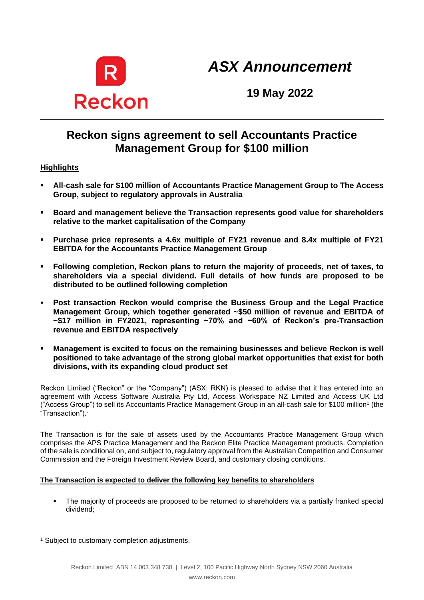

*ASX Announcement*

**19 May 2022**

# **Reckon signs agreement to sell Accountants Practice Management Group for \$100 million**

# **Highlights**

- **All-cash sale for \$100 million of Accountants Practice Management Group to The Access Group, subject to regulatory approvals in Australia**
- **Board and management believe the Transaction represents good value for shareholders relative to the market capitalisation of the Company**
- **Purchase price represents a 4.6x multiple of FY21 revenue and 8.4x multiple of FY21 EBITDA for the Accountants Practice Management Group**
- **Following completion, Reckon plans to return the majority of proceeds, net of taxes, to shareholders via a special dividend. Full details of how funds are proposed to be distributed to be outlined following completion**
- **Post transaction Reckon would comprise the Business Group and the Legal Practice Management Group, which together generated ~\$50 million of revenue and EBITDA of ~\$17 million in FY2021, representing ~70% and ~60% of Reckon's pre-Transaction revenue and EBITDA respectively**
- **Management is excited to focus on the remaining businesses and believe Reckon is well positioned to take advantage of the strong global market opportunities that exist for both divisions, with its expanding cloud product set**

Reckon Limited ("Reckon" or the "Company") (ASX: RKN) is pleased to advise that it has entered into an agreement with Access Software Australia Pty Ltd, Access Workspace NZ Limited and Access UK Ltd ("Access Group") to sell its Accountants Practice Management Group in an all-cash sale for \$100 million<sup>1</sup> (the "Transaction"). .

The Transaction is for the sale of assets used by the Accountants Practice Management Group which comprises the APS Practice Management and the Reckon Elite Practice Management products. Completion of the sale is conditional on, and subject to, regulatory approval from the Australian Competition and Consumer Commission and the Foreign Investment Review Board, and customary closing conditions.

# **The Transaction is expected to deliver the following key benefits to shareholders**

**•** The majority of proceeds are proposed to be returned to shareholders via a partially franked special dividend;

<sup>&</sup>lt;sup>1</sup> Subject to customary completion adjustments.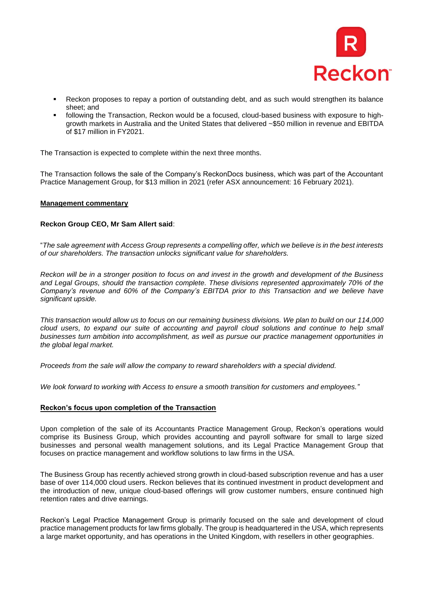

- Reckon proposes to repay a portion of outstanding debt, and as such would strengthen its balance sheet; and
- following the Transaction, Reckon would be a focused, cloud-based business with exposure to highgrowth markets in Australia and the United States that delivered ~\$50 million in revenue and EBITDA of \$17 million in FY2021.

The Transaction is expected to complete within the next three months.

The Transaction follows the sale of the Company's ReckonDocs business, which was part of the Accountant Practice Management Group, for \$13 million in 2021 (refer ASX announcement: 16 February 2021).

## **Management commentary**

## **Reckon Group CEO, Mr Sam Allert said**:

"*The sale agreement with Access Group represents a compelling offer, which we believe is in the best interests of our shareholders. The transaction unlocks significant value for shareholders.* 

*Reckon will be in a stronger position to focus on and invest in the growth and development of the Business and Legal Groups, should the transaction complete. These divisions represented approximately 70% of the Company's revenue and 60% of the Company's EBITDA prior to this Transaction and we believe have significant upside.* 

*This transaction would allow us to focus on our remaining business divisions. We plan to build on our 114,000 cloud users, to expand our suite of accounting and payroll cloud solutions and continue to help small businesses turn ambition into accomplishment, as well as pursue our practice management opportunities in the global legal market.*

*Proceeds from the sale will allow the company to reward shareholders with a special dividend.* 

*We look forward to working with Access to ensure a smooth transition for customers and employees."*

#### **Reckon's focus upon completion of the Transaction**

Upon completion of the sale of its Accountants Practice Management Group, Reckon's operations would comprise its Business Group, which provides accounting and payroll software for small to large sized businesses and personal wealth management solutions, and its Legal Practice Management Group that focuses on practice management and workflow solutions to law firms in the USA.

The Business Group has recently achieved strong growth in cloud-based subscription revenue and has a user base of over 114,000 cloud users. Reckon believes that its continued investment in product development and the introduction of new, unique cloud-based offerings will grow customer numbers, ensure continued high retention rates and drive earnings.

Reckon's Legal Practice Management Group is primarily focused on the sale and development of cloud practice management products for law firms globally. The group is headquartered in the USA, which represents a large market opportunity, and has operations in the United Kingdom, with resellers in other geographies.